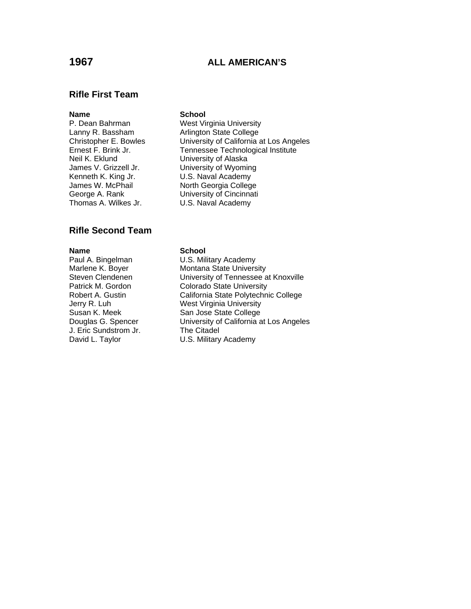# **1967 ALL AMERICAN'S**

# **Rifle First Team**

### **Name** School

P. Dean Bahrman West Virginia University Lanny R. Bassham **Arlington State College**<br>
Christopher E. Bowles **Christopher E. Bowles** Christopher E. Bowles<br>
Ernest F. Brink Jr. Tennessee Technological Institute Neil K. Eklund University of Alaska

James V. Grizzell Jr. University of Wyoming Kenneth K. King Jr. **U.S. Naval Academy** James W. McPhail North Georgia College George A. Rank University of Cincinnati Thomas A. Wilkes Jr. **U.S. Naval Academy** 

Tennessee Technological Institute

# **Rifle Second Team**

Susan K. Meek San Jose State College<br>
Douglas G. Spencer Colliversity of California a J. Eric Sundstrom Jr. The Citadel

# **Name School**<br> **Paul A. Bingelman U.S. Mili** U.S. Military Academy Marlene K. Boyer Montana State University Steven Clendenen University of Tennessee at Knoxville Patrick M. Gordon Colorado State University Robert A. Gustin California State Polytechnic College Jerry R. Luh West Virginia University<br>
Susan K. Meek San Jose State College

University of California at Los Angeles

David L. Taylor **U.S. Military Academy**